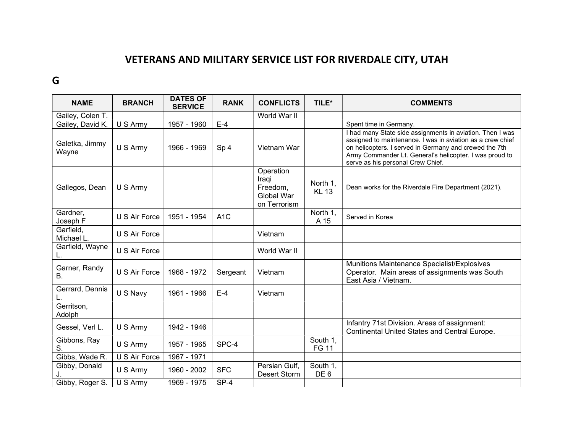## VETERANS AND MILITARY SERVICE LIST FOR RIVERDALE CITY, UTAH

## G

| <b>NAME</b>                | <b>BRANCH</b> | <b>DATES OF</b><br><b>SERVICE</b> | <b>RANK</b>      | <b>CONFLICTS</b>                                             | TILE*                       | <b>COMMENTS</b>                                                                                                                                                                                                                                                                   |
|----------------------------|---------------|-----------------------------------|------------------|--------------------------------------------------------------|-----------------------------|-----------------------------------------------------------------------------------------------------------------------------------------------------------------------------------------------------------------------------------------------------------------------------------|
| Gailey, Colen T.           |               |                                   |                  | World War II                                                 |                             |                                                                                                                                                                                                                                                                                   |
| Gailey, David K.           | U S Army      | 1957 - 1960                       | $E-4$            |                                                              |                             | Spent time in Germany.                                                                                                                                                                                                                                                            |
| Galetka, Jimmy<br>Wayne    | U S Army      | 1966 - 1969                       | Sp <sub>4</sub>  | Vietnam War                                                  |                             | I had many State side assignments in aviation. Then I was<br>assigned to maintenance. I was in aviation as a crew chief<br>on helicopters. I served in Germany and crewed the 7th<br>Army Commander Lt. General's helicopter. I was proud to<br>serve as his personal Crew Chief. |
| Gallegos, Dean             | U S Army      |                                   |                  | Operation<br>Iraqi<br>Freedom,<br>Global War<br>on Terrorism | North 1,<br><b>KL 13</b>    | Dean works for the Riverdale Fire Department (2021).                                                                                                                                                                                                                              |
| Gardner,<br>Joseph F       | U S Air Force | 1951 - 1954                       | A <sub>1</sub> C |                                                              | North 1,<br>A 15            | Served in Korea                                                                                                                                                                                                                                                                   |
| Garfield,<br>Michael L.    | U S Air Force |                                   |                  | Vietnam                                                      |                             |                                                                                                                                                                                                                                                                                   |
| Garfield, Wayne            | U S Air Force |                                   |                  | World War II                                                 |                             |                                                                                                                                                                                                                                                                                   |
| Garner, Randy<br><b>B.</b> | U S Air Force | 1968 - 1972                       | Sergeant         | Vietnam                                                      |                             | Munitions Maintenance Specialist/Explosives<br>Operator. Main areas of assignments was South<br>East Asia / Vietnam.                                                                                                                                                              |
| Gerrard, Dennis            | U S Navy      | 1961 - 1966                       | $E-4$            | Vietnam                                                      |                             |                                                                                                                                                                                                                                                                                   |
| Gerritson,<br>Adolph       |               |                                   |                  |                                                              |                             |                                                                                                                                                                                                                                                                                   |
| Gessel, Verl L.            | U S Army      | 1942 - 1946                       |                  |                                                              |                             | Infantry 71st Division. Areas of assignment:<br>Continental United States and Central Europe.                                                                                                                                                                                     |
| Gibbons, Ray<br>S.         | U S Army      | 1957 - 1965                       | SPC-4            |                                                              | South 1,<br><b>FG 11</b>    |                                                                                                                                                                                                                                                                                   |
| Gibbs, Wade R.             | U S Air Force | 1967 - 1971                       |                  |                                                              |                             |                                                                                                                                                                                                                                                                                   |
| Gibby, Donald              | U S Army      | 1960 - 2002                       | <b>SFC</b>       | Persian Gulf,<br><b>Desert Storm</b>                         | South 1,<br>DE <sub>6</sub> |                                                                                                                                                                                                                                                                                   |
| Gibby, Roger S.            | U S Army      | 1969 - 1975                       | $SP-4$           |                                                              |                             |                                                                                                                                                                                                                                                                                   |